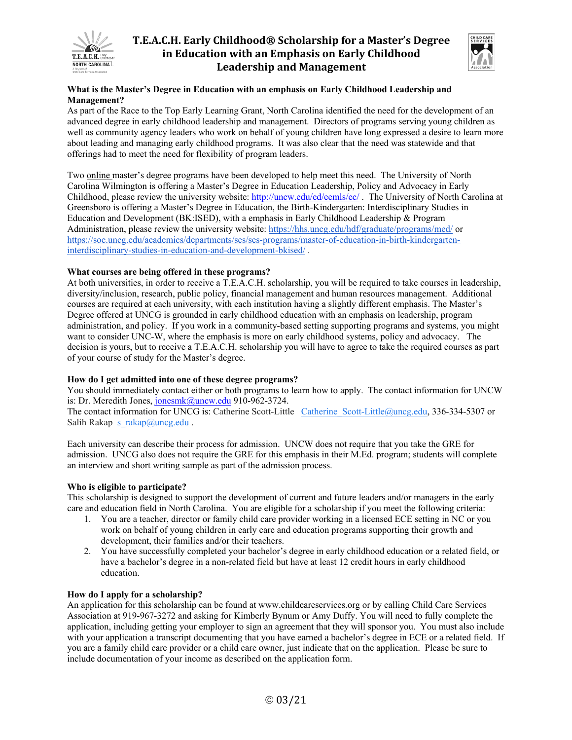

# **T.E.A.C.H. Early Childhood® Scholarship for a Master's Degree in Education with an Emphasis on Early Childhood Leadership and Management**



# **What is the Master's Degree in Education with an emphasis on Early Childhood Leadership and Management?**

As part of the Race to the Top Early Learning Grant, North Carolina identified the need for the development of an advanced degree in early childhood leadership and management. Directors of programs serving young children as well as community agency leaders who work on behalf of young children have long expressed a desire to learn more about leading and managing early childhood programs. It was also clear that the need was statewide and that offerings had to meet the need for flexibility of program leaders.

Two online master's degree programs have been developed to help meet this need. The University of North Carolina Wilmington is offering a Master's Degree in Education Leadership, Policy and Advocacy in Early Childhood, please review the university website: http://uncw.edu/ed/eemls/ec/ . The University of North Carolina at Greensboro is offering a Master's Degree in Education, the Birth-Kindergarten: Interdisciplinary Studies in Education and Development (BK:ISED), with a emphasis in Early Childhood Leadership & Program Administration, please review the university website: https://hhs.uncg.edu/hdf/graduate/programs/med/ or https://soe.uncg.edu/academics/departments/ses/ses-programs/master-of-education-in-birth-kindergarteninterdisciplinary-studies-in-education-and-development-bkised/ .

## **What courses are being offered in these programs?**

At both universities, in order to receive a T.E.A.C.H. scholarship, you will be required to take courses in leadership, diversity/inclusion, research, public policy, financial management and human resources management. Additional courses are required at each university, with each institution having a slightly different emphasis. The Master's Degree offered at UNCG is grounded in early childhood education with an emphasis on leadership, program administration, and policy. If you work in a community-based setting supporting programs and systems, you might want to consider UNC-W, where the emphasis is more on early childhood systems, policy and advocacy. The decision is yours, but to receive a T.E.A.C.H. scholarship you will have to agree to take the required courses as part of your course of study for the Master's degree.

#### **How do I get admitted into one of these degree programs?**

You should immediately contact either or both programs to learn how to apply. The contact information for UNCW is: Dr. Meredith Jones, jonesmk@uncw.edu 910-962-3724.

The contact information for UNCG is: Catherine Scott-Little Catherine Scott-Little@uncg.edu, 336-334-5307 or Salih Rakap s\_rakap@uncg.edu .

Each university can describe their process for admission. UNCW does not require that you take the GRE for admission. UNCG also does not require the GRE for this emphasis in their M.Ed. program; students will complete an interview and short writing sample as part of the admission process.

#### **Who is eligible to participate?**

This scholarship is designed to support the development of current and future leaders and/or managers in the early care and education field in North Carolina. You are eligible for a scholarship if you meet the following criteria:

- 1. You are a teacher, director or family child care provider working in a licensed ECE setting in NC or you work on behalf of young children in early care and education programs supporting their growth and development, their families and/or their teachers.
- 2. You have successfully completed your bachelor's degree in early childhood education or a related field, or have a bachelor's degree in a non-related field but have at least 12 credit hours in early childhood education.

#### **How do I apply for a scholarship?**

An application for this scholarship can be found at www.childcareservices.org or by calling Child Care Services Association at 919-967-3272 and asking for Kimberly Bynum or Amy Duffy. You will need to fully complete the application, including getting your employer to sign an agreement that they will sponsor you. You must also include with your application a transcript documenting that you have earned a bachelor's degree in ECE or a related field. If you are a family child care provider or a child care owner, just indicate that on the application. Please be sure to include documentation of your income as described on the application form.